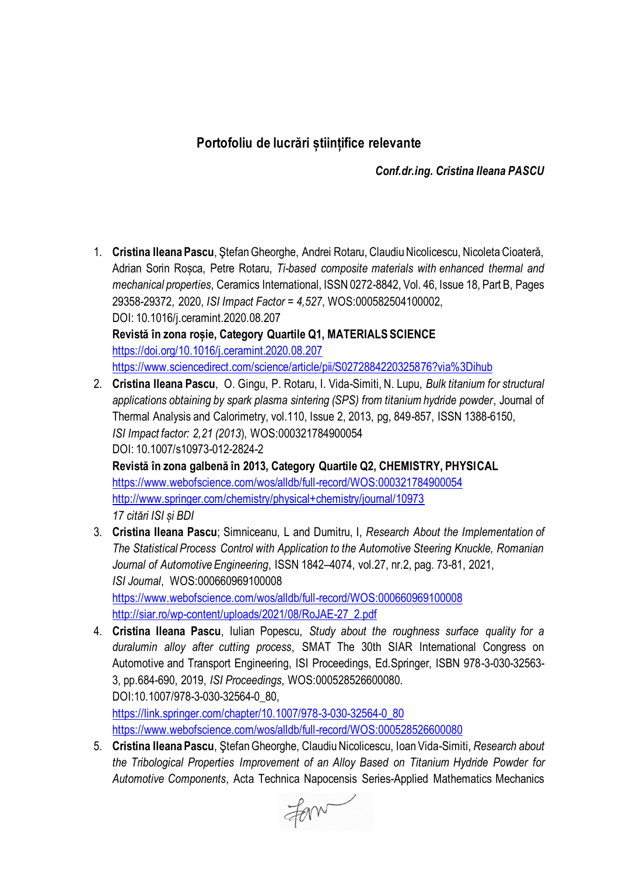## **Portofoliu de lucrări științifice relevante**

*Conf.dr.ing. Cristina Ileana PASCU*

- 1. **Cristina Ileana Pascu**, Ştefan Gheorghe, Andrei Rotaru, Claudiu Nicolicescu, Nicoleta Cioateră, Adrian Sorin Roșca, Petre Rotaru, *Ti-based composite materials with enhanced thermal and mechanical properties*, Ceramics International, ISSN 0272-8842, Vol. 46, Issue 18, Part B, Pages 29358-29372, 2020, *ISI Impact Factor = 4,527*, WOS:000582504100002, DOI: 10.1016/j.ceramint.2020.08.207 **Revistă în zona roșie, Category Quartile Q1, MATERIALS SCIENCE** <https://doi.org/10.1016/j.ceramint.2020.08.207> <https://www.sciencedirect.com/science/article/pii/S0272884220325876?via%3Dihub>
- 2. **Cristina Ileana Pascu**, O. Gingu, P. Rotaru, I. Vida-Simiti, N. Lupu, *Bulk titanium for structural applications obtaining by spark plasma sintering (SPS) from titanium hydride powder*, Journal of Thermal Analysis and Calorimetry, vol.110, Issue 2, 2013, pg, 849-857, ISSN 1388-6150, *ISI Impact factor: 2,21 (2013*), WOS:000321784900054 DOI: 10.1007/s10973-012-2824-2

**Revistă în zona galbenă în 2013, Category Quartile Q2, CHEMISTRY, PHYSICAL** <https://www.webofscience.com/wos/alldb/full-record/WOS:000321784900054> <http://www.springer.com/chemistry/physical+chemistry/journal/10973> *17 citări ISI și BDI*

3. **Cristina Ileana Pascu**; Simniceanu, L and Dumitru, I, *Research About the Implementation of The Statistical Process Control with Application to the Automotive Steering Knuckle, Romanian Journal of Automotive Engineering*, ISSN 1842–4074, vol.27, nr.2, pag. 73-81, 2021, *ISI Journal*, WOS:000660969100008 <https://www.webofscience.com/wos/alldb/full-record/WOS:000660969100008>

[http://siar.ro/wp-content/uploads/2021/08/RoJAE-27\\_2.pdf](http://siar.ro/wp-content/uploads/2021/08/RoJAE-27_2.pdf)

- 4. **Cristina Ileana Pascu**, Iulian Popescu, *Study about the roughness surface quality for a duralumin alloy after cutting process*, SMAT The 30th SIAR International Congress on Automotive and Transport Engineering, ISI Proceedings, Ed.Springer, ISBN 978-3-030-32563- 3, pp.684-690, 2019, *ISI Proceedings*, WOS:000528526600080. DOI:10.1007/978-3-030-32564-0\_80, [https://link.springer.com/chapter/10.1007/978-3-030-32564-0\\_80](https://link.springer.com/chapter/10.1007/978-3-030-32564-0_80) <https://www.webofscience.com/wos/alldb/full-record/WOS:000528526600080>
- 5. **Cristina Ileana Pascu**, Ştefan Gheorghe, Claudiu Nicolicescu, Ioan Vida-Simiti, *Research about the Tribological Properties Improvement of an Alloy Based on Titanium Hydride Powder for Automotive Components*, Acta Technica Napocensis Series-Applied Mathematics Mechanics

Fern